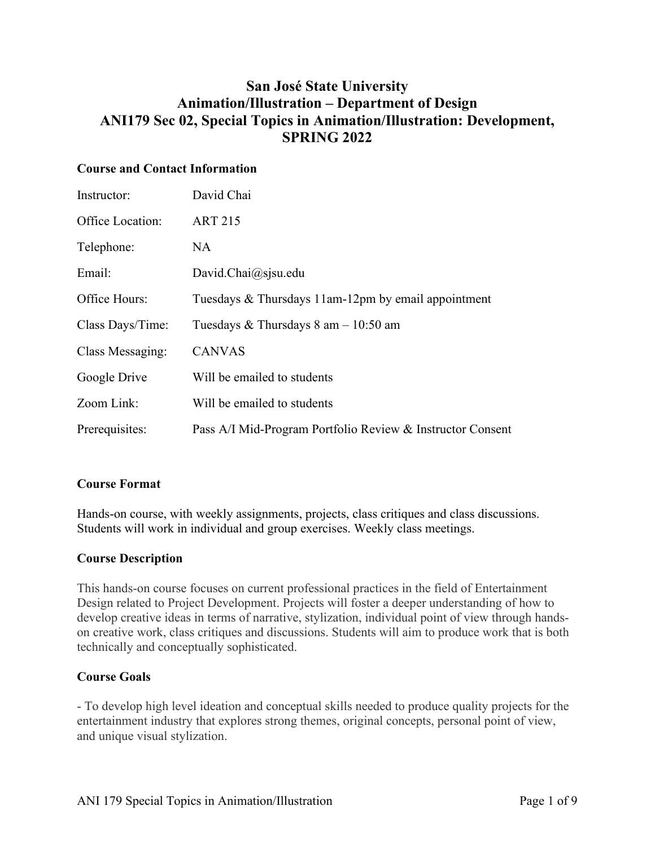## **San José State University Animation/Illustration – Department of Design ANI179 Sec 02, Special Topics in Animation/Illustration: Development, SPRING 2022**

## **Course and Contact Information**

| Instructor:      | David Chai                                                 |
|------------------|------------------------------------------------------------|
| Office Location: | <b>ART 215</b>                                             |
| Telephone:       | NA                                                         |
| Email:           | David.Chai@sjsu.edu                                        |
| Office Hours:    | Tuesdays & Thursdays 11am-12pm by email appointment        |
| Class Days/Time: | Tuesdays & Thursdays $8 \text{ am} - 10:50 \text{ am}$     |
| Class Messaging: | <b>CANVAS</b>                                              |
| Google Drive     | Will be emailed to students                                |
| Zoom Link:       | Will be emailed to students                                |
| Prerequisites:   | Pass A/I Mid-Program Portfolio Review & Instructor Consent |

## **Course Format**

Hands-on course, with weekly assignments, projects, class critiques and class discussions. Students will work in individual and group exercises. Weekly class meetings.

## **Course Description**

This hands-on course focuses on current professional practices in the field of Entertainment Design related to Project Development. Projects will foster a deeper understanding of how to develop creative ideas in terms of narrative, stylization, individual point of view through handson creative work, class critiques and discussions. Students will aim to produce work that is both technically and conceptually sophisticated.

## **Course Goals**

- To develop high level ideation and conceptual skills needed to produce quality projects for the entertainment industry that explores strong themes, original concepts, personal point of view, and unique visual stylization.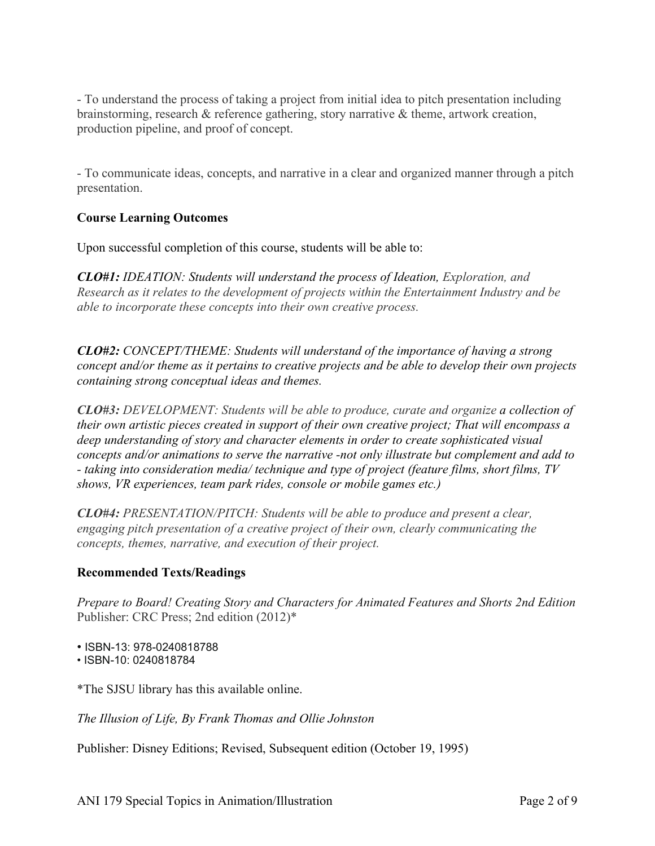- To understand the process of taking a project from initial idea to pitch presentation including brainstorming, research & reference gathering, story narrative & theme, artwork creation, production pipeline, and proof of concept.

- To communicate ideas, concepts, and narrative in a clear and organized manner through a pitch presentation.

## **Course Learning Outcomes**

Upon successful completion of this course, students will be able to:

*CLO#1: IDEATION: Students will understand the process of Ideation, Exploration, and Research as it relates to the development of projects within the Entertainment Industry and be able to incorporate these concepts into their own creative process.* 

*CLO#2: CONCEPT/THEME: Students will understand of the importance of having a strong concept and/or theme as it pertains to creative projects and be able to develop their own projects containing strong conceptual ideas and themes.*

*CLO#3: DEVELOPMENT: Students will be able to produce, curate and organize a collection of their own artistic pieces created in support of their own creative project; That will encompass a deep understanding of story and character elements in order to create sophisticated visual concepts and/or animations to serve the narrative -not only illustrate but complement and add to - taking into consideration media/ technique and type of project (feature films, short films, TV shows, VR experiences, team park rides, console or mobile games etc.)* 

*CLO#4: PRESENTATION/PITCH: Students will be able to produce and present a clear, engaging pitch presentation of a creative project of their own, clearly communicating the concepts, themes, narrative, and execution of their project.*

## **Recommended Texts/Readings**

*Prepare to Board! Creating Story and Characters for Animated Features and Shorts 2nd Edition* Publisher: CRC Press; 2nd edition (2012)\*

• ISBN-13: 978-0240818788

• ISBN-10: 0240818784

\*The SJSU library has this available online.

*The Illusion of Life, By Frank Thomas and Ollie Johnston* 

Publisher: Disney Editions; Revised, Subsequent edition (October 19, 1995)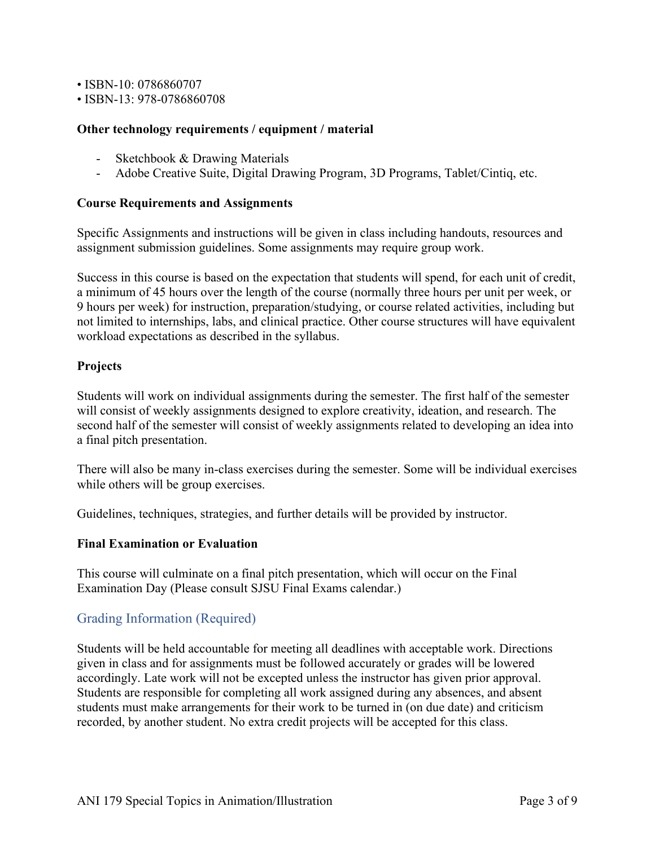• ISBN-10: 0786860707

• ISBN-13: 978-0786860708

#### **Other technology requirements / equipment / material**

- Sketchbook & Drawing Materials
- Adobe Creative Suite, Digital Drawing Program, 3D Programs, Tablet/Cintiq, etc.

#### **Course Requirements and Assignments**

Specific Assignments and instructions will be given in class including handouts, resources and assignment submission guidelines. Some assignments may require group work.

Success in this course is based on the expectation that students will spend, for each unit of credit, a minimum of 45 hours over the length of the course (normally three hours per unit per week, or 9 hours per week) for instruction, preparation/studying, or course related activities, including but not limited to internships, labs, and clinical practice. Other course structures will have equivalent workload expectations as described in the syllabus.

#### **Projects**

Students will work on individual assignments during the semester. The first half of the semester will consist of weekly assignments designed to explore creativity, ideation, and research. The second half of the semester will consist of weekly assignments related to developing an idea into a final pitch presentation.

There will also be many in-class exercises during the semester. Some will be individual exercises while others will be group exercises.

Guidelines, techniques, strategies, and further details will be provided by instructor.

#### **Final Examination or Evaluation**

This course will culminate on a final pitch presentation, which will occur on the Final Examination Day (Please consult SJSU Final Exams calendar.)

## Grading Information (Required)

Students will be held accountable for meeting all deadlines with acceptable work. Directions given in class and for assignments must be followed accurately or grades will be lowered accordingly. Late work will not be excepted unless the instructor has given prior approval. Students are responsible for completing all work assigned during any absences, and absent students must make arrangements for their work to be turned in (on due date) and criticism recorded, by another student. No extra credit projects will be accepted for this class.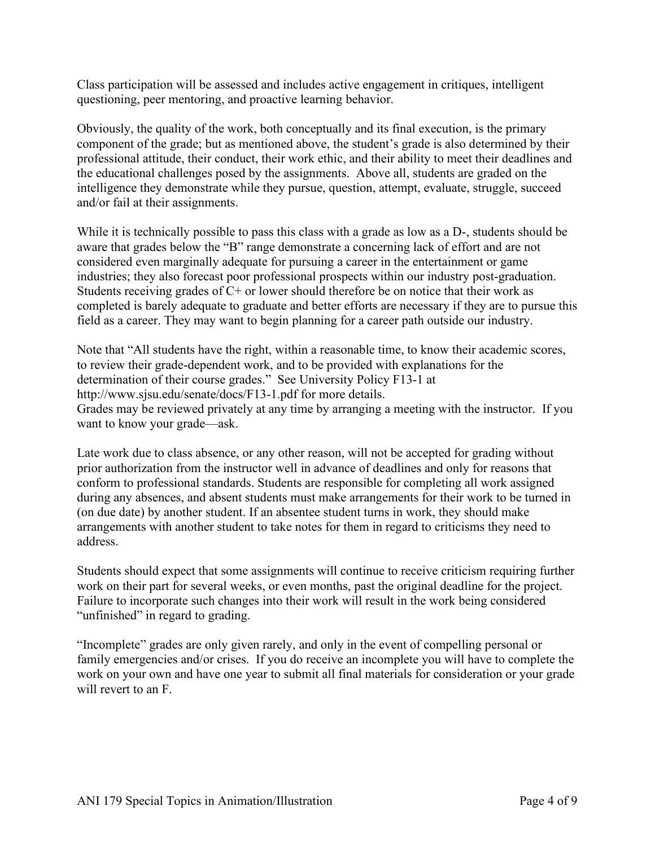Class participation will be assessed and includes active engagement in critiques, intelligent questioning, peer mentoring, and proactive learning behavior.

Obviously, the quality of the work, both conceptually and its final execution, is the primary component of the grade; but as mentioned above, the student's grade is also determined by their professional attitude, their conduct, their work ethic, and their ability to meet their deadlines and the educational challenges posed by the assignments. Above all, students are graded on the intelligence they demonstrate while they pursue, question, attempt, evaluate, struggle, succeed and/or fail at their assignments.

While it is technically possible to pass this class with a grade as low as a D-, students should be aware that grades below the "B" range demonstrate a concerning lack of effort and are not considered even marginally adequate for pursuing a career in the entertainment or game industries; they also forecast poor professional prospects within our industry post-graduation. Students receiving grades of  $C<sup>+</sup>$  or lower should therefore be on notice that their work as completed is barely adequate to graduate and better efforts are necessary if they are to pursue this field as a career. They may want to begin planning for a career path outside our industry.

Note that "All students have the right, within a reasonable time, to know their academic scores, to review their grade-dependent work, and to be provided with explanations for the determination of their course grades." See University Policy F13-1 at http://www.sjsu.edu/senate/docs/F13-1.pdf for more details. Grades may be reviewed privately at any time by arranging a meeting with the instructor. If you want to know your grade—ask.

Late work due to class absence, or any other reason, will not be accepted for grading without prior authorization from the instructor well in advance of deadlines and only for reasons that conform to professional standards. Students are responsible for completing all work assigned during any absences, and absent students must make arrangements for their work to be turned in (on due date) by another student. If an absentee student turns in work, they should make arrangements with another student to take notes for them in regard to criticisms they need to address.

Students should expect that some assignments will continue to receive criticism requiring further work on their part for several weeks, or even months, past the original deadline for the project. Failure to incorporate such changes into their work will result in the work being considered "unfinished" in regard to grading.

"Incomplete" grades are only given rarely, and only in the event of compelling personal or family emergencies and/or crises. If you do receive an incomplete you will have to complete the work on your own and have one year to submit all final materials for consideration or your grade will revert to an F.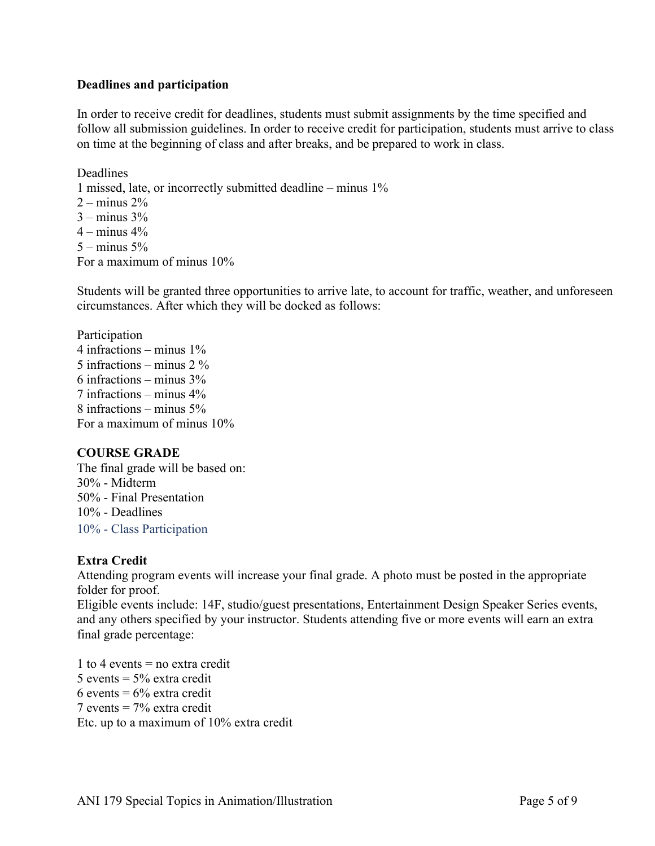#### **Deadlines and participation**

In order to receive credit for deadlines, students must submit assignments by the time specified and follow all submission guidelines. In order to receive credit for participation, students must arrive to class on time at the beginning of class and after breaks, and be prepared to work in class.

Deadlines 1 missed, late, or incorrectly submitted deadline – minus 1%  $2 - \text{minus } 2\%$  $3 -$  minus  $3\%$  $4 -$  minus  $4\%$  $5 -$  minus  $5\%$ For a maximum of minus 10%

Students will be granted three opportunities to arrive late, to account for traffic, weather, and unforeseen circumstances. After which they will be docked as follows:

Participation 4 infractions – minus 1% 5 infractions – minus 2 % 6 infractions – minus 3% 7 infractions – minus 4% 8 infractions – minus 5% For a maximum of minus 10%

## **COURSE GRADE**

The final grade will be based on: 30% - Midterm 50% - Final Presentation 10% - Deadlines 10% - Class Participation

## **Extra Credit**

Attending program events will increase your final grade. A photo must be posted in the appropriate folder for proof.

Eligible events include: 14F, studio/guest presentations, Entertainment Design Speaker Series events, and any others specified by your instructor. Students attending five or more events will earn an extra final grade percentage:

1 to 4 events  $=$  no extra credit 5 events  $= 5\%$  extra credit 6 events =  $6\%$  extra credit 7 events = 7% extra credit Etc. up to a maximum of 10% extra credit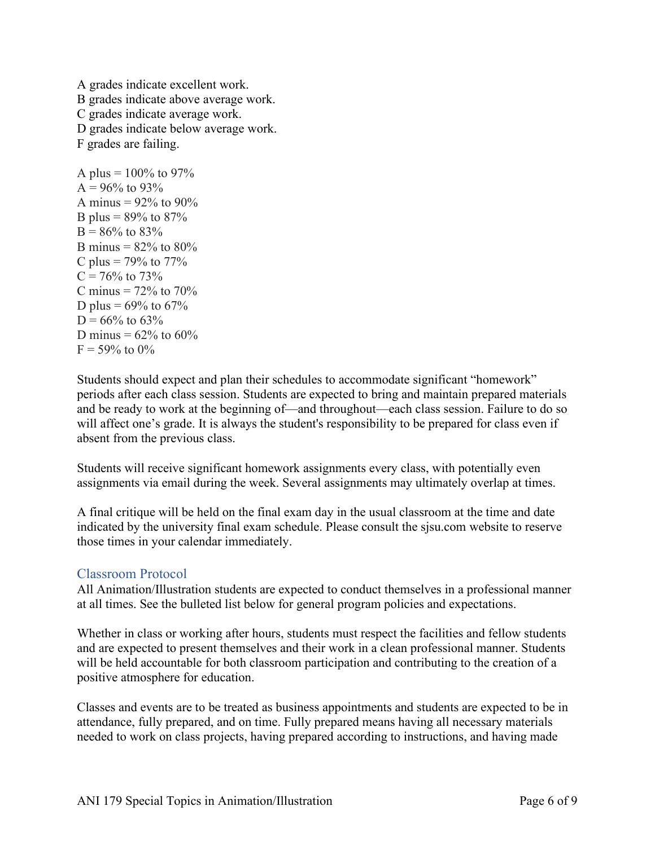A grades indicate excellent work. B grades indicate above average work. C grades indicate average work. D grades indicate below average work. F grades are failing. A plus =  $100\%$  to 97%

 $A = 96\%$  to 93% A minus =  $92\%$  to  $90\%$ B plus =  $89\%$  to  $87\%$  $B = 86\%$  to 83% B minus =  $82%$  to  $80%$ C plus =  $79\%$  to  $77\%$  $C = 76\%$  to 73% C minus =  $72\%$  to  $70\%$ D plus =  $69\%$  to  $67\%$  $D = 66\%$  to 63\% D minus =  $62\%$  to  $60\%$  $F = 59\%$  to  $0\%$ 

Students should expect and plan their schedules to accommodate significant "homework" periods after each class session. Students are expected to bring and maintain prepared materials and be ready to work at the beginning of—and throughout—each class session. Failure to do so will affect one's grade. It is always the student's responsibility to be prepared for class even if absent from the previous class.

Students will receive significant homework assignments every class, with potentially even assignments via email during the week. Several assignments may ultimately overlap at times.

A final critique will be held on the final exam day in the usual classroom at the time and date indicated by the university final exam schedule. Please consult the sjsu.com website to reserve those times in your calendar immediately.

## Classroom Protocol

All Animation/Illustration students are expected to conduct themselves in a professional manner at all times. See the bulleted list below for general program policies and expectations.

Whether in class or working after hours, students must respect the facilities and fellow students and are expected to present themselves and their work in a clean professional manner. Students will be held accountable for both classroom participation and contributing to the creation of a positive atmosphere for education.

Classes and events are to be treated as business appointments and students are expected to be in attendance, fully prepared, and on time. Fully prepared means having all necessary materials needed to work on class projects, having prepared according to instructions, and having made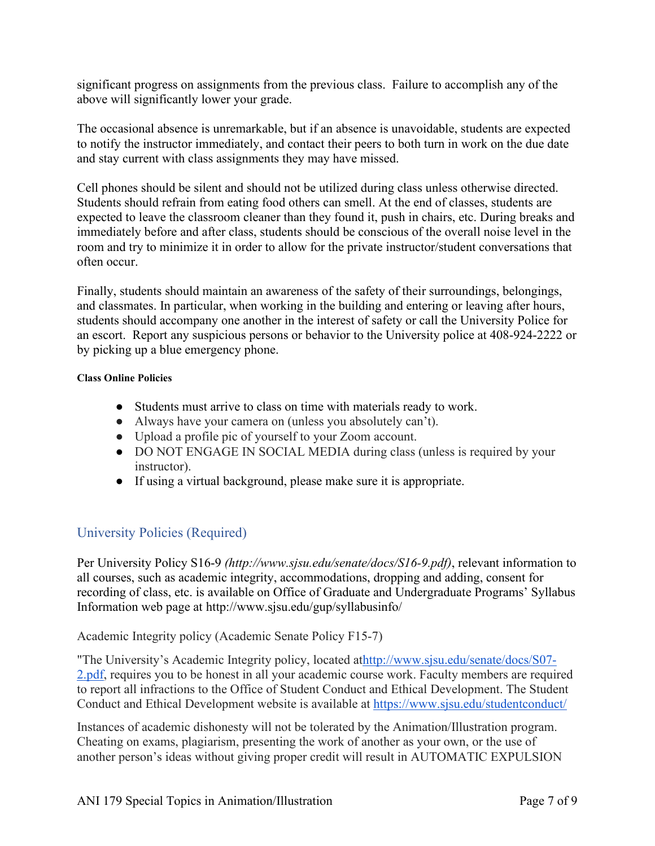significant progress on assignments from the previous class. Failure to accomplish any of the above will significantly lower your grade.

The occasional absence is unremarkable, but if an absence is unavoidable, students are expected to notify the instructor immediately, and contact their peers to both turn in work on the due date and stay current with class assignments they may have missed.

Cell phones should be silent and should not be utilized during class unless otherwise directed. Students should refrain from eating food others can smell. At the end of classes, students are expected to leave the classroom cleaner than they found it, push in chairs, etc. During breaks and immediately before and after class, students should be conscious of the overall noise level in the room and try to minimize it in order to allow for the private instructor/student conversations that often occur.

Finally, students should maintain an awareness of the safety of their surroundings, belongings, and classmates. In particular, when working in the building and entering or leaving after hours, students should accompany one another in the interest of safety or call the University Police for an escort. Report any suspicious persons or behavior to the University police at 408-924-2222 or by picking up a blue emergency phone.

#### **Class Online Policies**

- Students must arrive to class on time with materials ready to work.
- Always have your camera on (unless you absolutely can't).
- Upload a profile pic of yourself to your Zoom account.
- DO NOT ENGAGE IN SOCIAL MEDIA during class (unless is required by your instructor).
- If using a virtual background, please make sure it is appropriate.

## University Policies (Required)

Per University Policy S16-9 *(http://www.sjsu.edu/senate/docs/S16-9.pdf)*, relevant information to all courses, such as academic integrity, accommodations, dropping and adding, consent for recording of class, etc. is available on Office of Graduate and Undergraduate Programs' Syllabus Information web page at http://www.sjsu.edu/gup/syllabusinfo/

Academic Integrity policy (Academic Senate Policy F15-7)

"The University's Academic Integrity policy, located a[thttp://www.sjsu.edu/senate/docs/S07-](http://www.sjsu.edu/senate/docs/S07-2.pdf) [2.pdf,](http://www.sjsu.edu/senate/docs/S07-2.pdf) requires you to be honest in all your academic course work. Faculty members are required to report all infractions to the Office of Student Conduct and Ethical Development. The Student Conduct and Ethical Development website is available at <https://www.sjsu.edu/studentconduct/>

Instances of academic dishonesty will not be tolerated by the Animation/Illustration program. Cheating on exams, plagiarism, presenting the work of another as your own, or the use of another person's ideas without giving proper credit will result in AUTOMATIC EXPULSION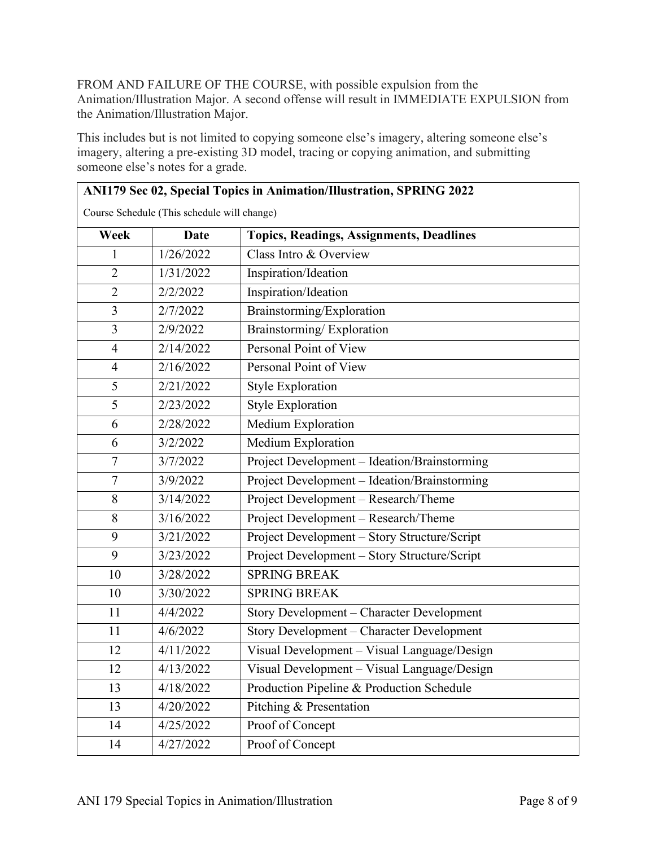FROM AND FAILURE OF THE COURSE, with possible expulsion from the Animation/Illustration Major. A second offense will result in IMMEDIATE EXPULSION from the Animation/Illustration Major.

This includes but is not limited to copying someone else's imagery, altering someone else's imagery, altering a pre-existing 3D model, tracing or copying animation, and submitting someone else's notes for a grade.

|                                             | ANI179 Sec 02, Special Topics in Animation/Illustration, SPRING 2022 |                                                 |  |  |  |
|---------------------------------------------|----------------------------------------------------------------------|-------------------------------------------------|--|--|--|
| Course Schedule (This schedule will change) |                                                                      |                                                 |  |  |  |
| Week                                        | <b>Date</b>                                                          | <b>Topics, Readings, Assignments, Deadlines</b> |  |  |  |
| 1                                           | 1/26/2022                                                            | Class Intro & Overview                          |  |  |  |
| $\overline{2}$                              | 1/31/2022                                                            | Inspiration/Ideation                            |  |  |  |
| $\overline{2}$                              | 2/2/2022                                                             | Inspiration/Ideation                            |  |  |  |
| $\overline{3}$                              | 2/7/2022                                                             | Brainstorming/Exploration                       |  |  |  |
| 3                                           | 2/9/2022                                                             | Brainstorming/Exploration                       |  |  |  |
| $\overline{4}$                              | 2/14/2022                                                            | Personal Point of View                          |  |  |  |
| 4                                           | 2/16/2022                                                            | Personal Point of View                          |  |  |  |
| 5                                           | 2/21/2022                                                            | <b>Style Exploration</b>                        |  |  |  |
| 5                                           | 2/23/2022                                                            | <b>Style Exploration</b>                        |  |  |  |
| 6                                           | 2/28/2022                                                            | Medium Exploration                              |  |  |  |
| 6                                           | 3/2/2022                                                             | Medium Exploration                              |  |  |  |
| $\overline{7}$                              | 3/7/2022                                                             | Project Development - Ideation/Brainstorming    |  |  |  |
| $\overline{7}$                              | 3/9/2022                                                             | Project Development - Ideation/Brainstorming    |  |  |  |
| 8                                           | 3/14/2022                                                            | Project Development - Research/Theme            |  |  |  |
| 8                                           | 3/16/2022                                                            | Project Development - Research/Theme            |  |  |  |
| 9                                           | 3/21/2022                                                            | Project Development - Story Structure/Script    |  |  |  |
| 9                                           | 3/23/2022                                                            | Project Development - Story Structure/Script    |  |  |  |
| 10                                          | 3/28/2022                                                            | <b>SPRING BREAK</b>                             |  |  |  |
| 10                                          | 3/30/2022                                                            | <b>SPRING BREAK</b>                             |  |  |  |
| 11                                          | 4/4/2022                                                             | Story Development - Character Development       |  |  |  |
| 11                                          | 4/6/2022                                                             | Story Development - Character Development       |  |  |  |
| 12                                          | 4/11/2022                                                            | Visual Development - Visual Language/Design     |  |  |  |
| 12                                          | 4/13/2022                                                            | Visual Development - Visual Language/Design     |  |  |  |
| 13                                          | 4/18/2022                                                            | Production Pipeline & Production Schedule       |  |  |  |
| 13                                          | 4/20/2022                                                            | Pitching & Presentation                         |  |  |  |
| 14                                          | 4/25/2022                                                            | Proof of Concept                                |  |  |  |
| 14                                          | 4/27/2022                                                            | Proof of Concept                                |  |  |  |